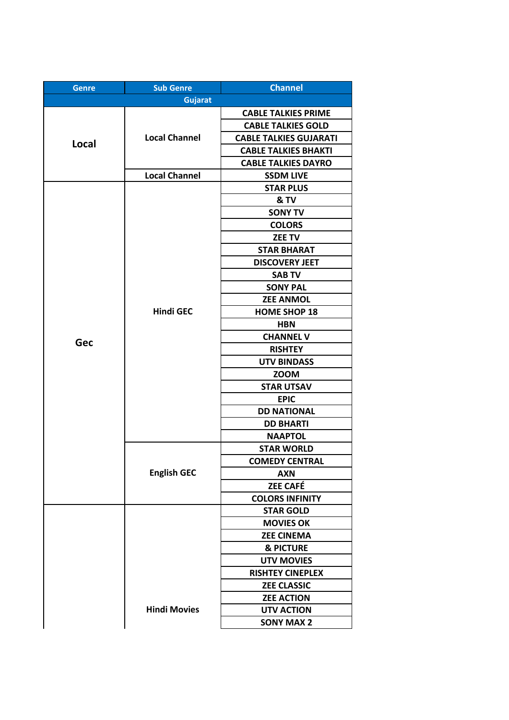| <b>Genre</b> | <b>Sub Genre</b>     | <b>Channel</b>                |
|--------------|----------------------|-------------------------------|
|              | <b>Gujarat</b>       |                               |
| Local        |                      | <b>CABLE TALKIES PRIME</b>    |
|              |                      | <b>CABLE TALKIES GOLD</b>     |
|              | <b>Local Channel</b> | <b>CABLE TALKIES GUJARATI</b> |
|              |                      | <b>CABLE TALKIES BHAKTI</b>   |
|              |                      | <b>CABLE TALKIES DAYRO</b>    |
|              | <b>Local Channel</b> | <b>SSDM LIVE</b>              |
|              |                      | <b>STAR PLUS</b>              |
|              |                      | & TV                          |
|              |                      | <b>SONY TV</b>                |
|              |                      | <b>COLORS</b>                 |
|              |                      | <b>ZEE TV</b>                 |
|              |                      | <b>STAR BHARAT</b>            |
|              |                      | <b>DISCOVERY JEET</b>         |
|              |                      | <b>SAB TV</b>                 |
|              |                      | <b>SONY PAL</b>               |
|              |                      | <b>ZEE ANMOL</b>              |
|              | <b>Hindi GEC</b>     | <b>HOME SHOP 18</b>           |
|              |                      | <b>HBN</b>                    |
| Gec          |                      | <b>CHANNEL V</b>              |
|              |                      | <b>RISHTEY</b>                |
|              |                      | <b>UTV BINDASS</b>            |
|              |                      | <b>ZOOM</b>                   |
|              |                      | <b>STAR UTSAV</b>             |
|              |                      | <b>EPIC</b>                   |
|              |                      | <b>DD NATIONAL</b>            |
|              |                      | <b>DD BHARTI</b>              |
|              |                      | <b>NAAPTOL</b>                |
|              | <b>English GEC</b>   | <b>STAR WORLD</b>             |
|              |                      | <b>COMEDY CENTRAL</b>         |
|              |                      | <b>AXN</b>                    |
|              |                      | <b>ZEE CAFÉ</b>               |
|              |                      | <b>COLORS INFINITY</b>        |
|              |                      | <b>STAR GOLD</b>              |
|              | <b>Hindi Movies</b>  | <b>MOVIES OK</b>              |
|              |                      | <b>ZEE CINEMA</b>             |
|              |                      | & PICTURE                     |
|              |                      | <b>UTV MOVIES</b>             |
|              |                      | <b>RISHTEY CINEPLEX</b>       |
|              |                      | <b>ZEE CLASSIC</b>            |
|              |                      | <b>ZEE ACTION</b>             |
|              |                      | <b>UTV ACTION</b>             |
|              |                      | <b>SONY MAX 2</b>             |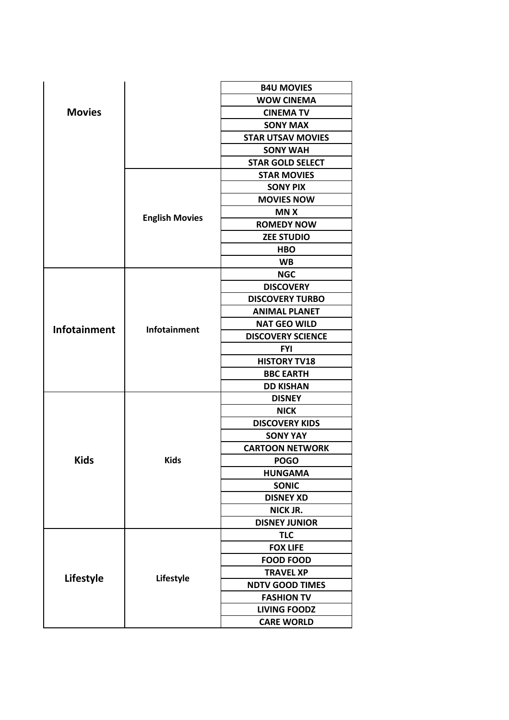|               |                       | <b>B4U MOVIES</b>        |
|---------------|-----------------------|--------------------------|
|               |                       | <b>WOW CINEMA</b>        |
| <b>Movies</b> |                       | <b>CINEMA TV</b>         |
|               |                       | <b>SONY MAX</b>          |
|               |                       | <b>STAR UTSAV MOVIES</b> |
|               |                       | <b>SONY WAH</b>          |
|               |                       | <b>STAR GOLD SELECT</b>  |
|               |                       | <b>STAR MOVIES</b>       |
|               |                       | <b>SONY PIX</b>          |
|               |                       | <b>MOVIES NOW</b>        |
|               |                       | <b>MNX</b>               |
|               | <b>English Movies</b> | <b>ROMEDY NOW</b>        |
|               |                       | <b>ZEE STUDIO</b>        |
|               |                       | <b>HBO</b>               |
|               |                       | <b>WB</b>                |
|               |                       | <b>NGC</b>               |
|               |                       | <b>DISCOVERY</b>         |
|               |                       | <b>DISCOVERY TURBO</b>   |
|               |                       | <b>ANIMAL PLANET</b>     |
| Infotainment  |                       | <b>NAT GEO WILD</b>      |
|               | <b>Infotainment</b>   | <b>DISCOVERY SCIENCE</b> |
|               |                       | <b>FYI</b>               |
|               |                       | <b>HISTORY TV18</b>      |
|               |                       | <b>BBC EARTH</b>         |
|               |                       | <b>DD KISHAN</b>         |
|               |                       | <b>DISNEY</b>            |
|               |                       | <b>NICK</b>              |
|               |                       | <b>DISCOVERY KIDS</b>    |
|               |                       | <b>SONY YAY</b>          |
|               | <b>Kids</b>           | <b>CARTOON NETWORK</b>   |
| <b>Kids</b>   |                       | <b>POGO</b>              |
|               |                       | <b>HUNGAMA</b>           |
|               |                       | <b>SONIC</b>             |
|               |                       | <b>DISNEY XD</b>         |
|               |                       | <b>NICK JR.</b>          |
|               |                       | <b>DISNEY JUNIOR</b>     |
|               |                       | <b>TLC</b>               |
|               | Lifestyle             | <b>FOX LIFE</b>          |
|               |                       | <b>FOOD FOOD</b>         |
|               |                       | <b>TRAVEL XP</b>         |
| Lifestyle     |                       | <b>NDTV GOOD TIMES</b>   |
|               |                       | <b>FASHION TV</b>        |
|               |                       | <b>LIVING FOODZ</b>      |
|               |                       | <b>CARE WORLD</b>        |
|               |                       |                          |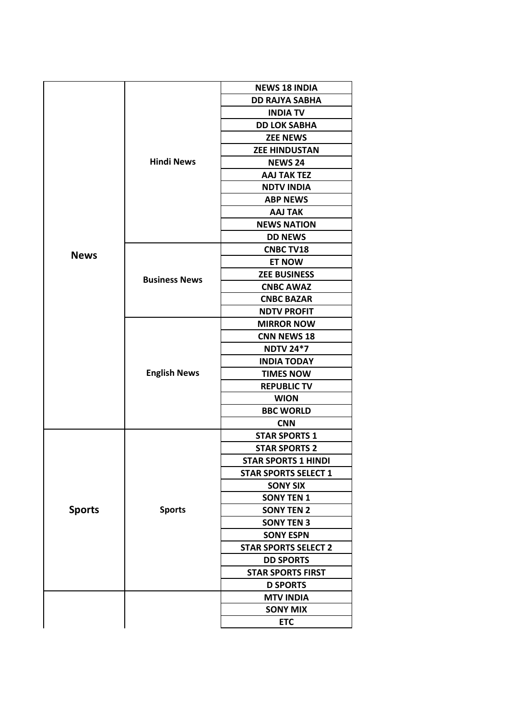|               |                      | <b>NEWS 18 INDIA</b>        |
|---------------|----------------------|-----------------------------|
|               |                      | <b>DD RAJYA SABHA</b>       |
|               |                      | <b>INDIA TV</b>             |
|               |                      | <b>DD LOK SABHA</b>         |
|               |                      | <b>ZEE NEWS</b>             |
|               | <b>Hindi News</b>    | <b>ZEE HINDUSTAN</b>        |
|               |                      | <b>NEWS 24</b>              |
|               |                      | <b>AAJ TAK TEZ</b>          |
|               |                      | <b>NDTV INDIA</b>           |
|               |                      | <b>ABP NEWS</b>             |
|               |                      | <b>AAJ TAK</b>              |
|               |                      | <b>NEWS NATION</b>          |
|               |                      | <b>DD NEWS</b>              |
| <b>News</b>   |                      | <b>CNBC TV18</b>            |
|               |                      | <b>ET NOW</b>               |
|               | <b>Business News</b> | <b>ZEE BUSINESS</b>         |
|               |                      | <b>CNBC AWAZ</b>            |
|               |                      | <b>CNBC BAZAR</b>           |
|               |                      | <b>NDTV PROFIT</b>          |
|               |                      | <b>MIRROR NOW</b>           |
|               |                      | <b>CNN NEWS 18</b>          |
|               |                      | <b>NDTV 24*7</b>            |
|               |                      | <b>INDIA TODAY</b>          |
|               | <b>English News</b>  | <b>TIMES NOW</b>            |
|               |                      | <b>REPUBLIC TV</b>          |
|               |                      | <b>WION</b>                 |
|               |                      | <b>BBC WORLD</b>            |
|               |                      | <b>CNN</b>                  |
|               |                      | <b>STAR SPORTS 1</b>        |
|               |                      | <b>STAR SPORTS 2</b>        |
|               |                      | <b>STAR SPORTS 1 HINDI</b>  |
| <b>Sports</b> |                      | <b>STAR SPORTS SELECT 1</b> |
|               |                      | <b>SONY SIX</b>             |
|               |                      | <b>SONY TEN 1</b>           |
|               | <b>Sports</b>        | <b>SONY TEN 2</b>           |
|               |                      | <b>SONY TEN 3</b>           |
|               |                      | <b>SONY ESPN</b>            |
|               |                      | <b>STAR SPORTS SELECT 2</b> |
|               |                      | <b>DD SPORTS</b>            |
|               |                      | <b>STAR SPORTS FIRST</b>    |
|               |                      | <b>D SPORTS</b>             |
|               |                      | <b>MTV INDIA</b>            |
|               |                      | <b>SONY MIX</b>             |
|               |                      | <b>ETC</b>                  |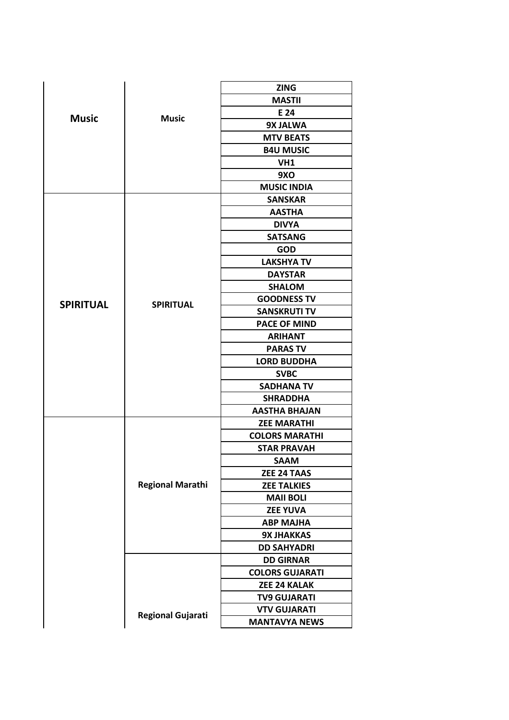|                  |                          | <b>ZING</b>            |
|------------------|--------------------------|------------------------|
|                  |                          | <b>MASTII</b>          |
|                  | <b>Music</b>             | E 24                   |
| <b>Music</b>     |                          | 9X JALWA               |
|                  |                          | <b>MTV BEATS</b>       |
|                  |                          | <b>B4U MUSIC</b>       |
|                  |                          | VH1                    |
|                  |                          | 9XO                    |
|                  |                          | <b>MUSIC INDIA</b>     |
|                  |                          | <b>SANSKAR</b>         |
|                  |                          | <b>AASTHA</b>          |
|                  |                          | <b>DIVYA</b>           |
|                  |                          | <b>SATSANG</b>         |
|                  |                          | <b>GOD</b>             |
|                  |                          | <b>LAKSHYA TV</b>      |
|                  |                          | <b>DAYSTAR</b>         |
|                  |                          | <b>SHALOM</b>          |
| <b>SPIRITUAL</b> | <b>SPIRITUAL</b>         | <b>GOODNESS TV</b>     |
|                  |                          | <b>SANSKRUTI TV</b>    |
|                  |                          | <b>PACE OF MIND</b>    |
|                  |                          | <b>ARIHANT</b>         |
|                  |                          | <b>PARAS TV</b>        |
|                  |                          | <b>LORD BUDDHA</b>     |
|                  |                          | <b>SVBC</b>            |
|                  |                          | <b>SADHANA TV</b>      |
|                  |                          | <b>SHRADDHA</b>        |
|                  |                          | <b>AASTHA BHAJAN</b>   |
|                  |                          | <b>ZEE MARATHI</b>     |
|                  |                          | <b>COLORS MARATHI</b>  |
|                  |                          | <b>STAR PRAVAH</b>     |
|                  | <b>Regional Marathi</b>  | <b>SAAM</b>            |
|                  |                          | ZEE 24 TAAS            |
|                  |                          | <b>ZEE TALKIES</b>     |
|                  |                          | <b>MAII BOLI</b>       |
|                  |                          | <b>ZEE YUVA</b>        |
|                  |                          | <b>ABP MAJHA</b>       |
|                  |                          | <b>9X JHAKKAS</b>      |
|                  |                          | <b>DD SAHYADRI</b>     |
|                  |                          | <b>DD GIRNAR</b>       |
|                  |                          | <b>COLORS GUJARATI</b> |
|                  |                          | <b>ZEE 24 KALAK</b>    |
|                  |                          | <b>TV9 GUJARATI</b>    |
|                  |                          | <b>VTV GUJARATI</b>    |
|                  | <b>Regional Gujarati</b> | <b>MANTAVYA NEWS</b>   |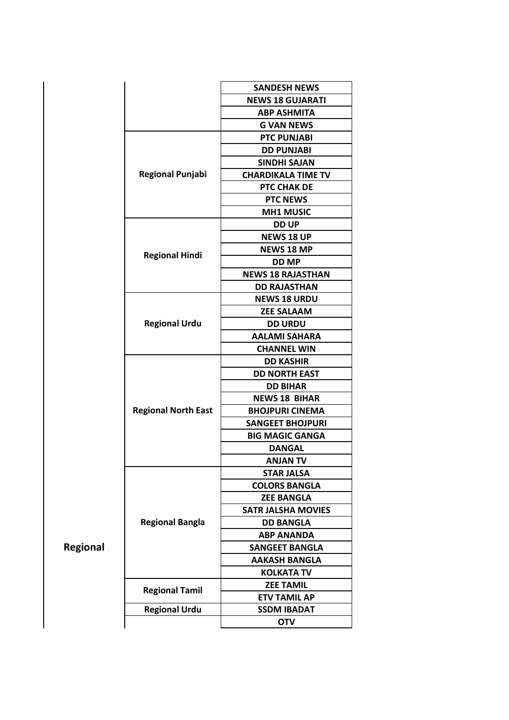|          |                            | <b>SANDESH NEWS</b>       |
|----------|----------------------------|---------------------------|
|          |                            | <b>NEWS 18 GUJARATI</b>   |
|          |                            | <b>ABP ASHMITA</b>        |
|          |                            | <b>G VAN NEWS</b>         |
|          |                            | <b>PTC PUNJABI</b>        |
|          |                            | <b>DD PUNJABI</b>         |
|          |                            | <b>SINDHI SAJAN</b>       |
|          | <b>Regional Punjabi</b>    | <b>CHARDIKALA TIME TV</b> |
|          |                            | PTC CHAK DE               |
|          |                            | <b>PTC NEWS</b>           |
|          |                            | <b>MH1 MUSIC</b>          |
|          |                            | <b>DD UP</b>              |
|          |                            | <b>NEWS 18 UP</b>         |
|          |                            | <b>NEWS 18 MP</b>         |
|          | <b>Regional Hindi</b>      | <b>DD MP</b>              |
|          |                            | <b>NEWS 18 RAJASTHAN</b>  |
|          |                            | <b>DD RAJASTHAN</b>       |
|          |                            | <b>NEWS 18 URDU</b>       |
|          |                            | <b>ZEE SALAAM</b>         |
|          | <b>Regional Urdu</b>       | <b>DD URDU</b>            |
|          |                            | <b>AALAMI SAHARA</b>      |
|          |                            | <b>CHANNEL WIN</b>        |
|          |                            | <b>DD KASHIR</b>          |
|          | <b>Regional North East</b> | <b>DD NORTH EAST</b>      |
|          |                            | <b>DD BIHAR</b>           |
|          |                            | <b>NEWS 18 BIHAR</b>      |
|          |                            | <b>BHOJPURI CINEMA</b>    |
|          |                            | <b>SANGEET BHOJPURI</b>   |
|          |                            | <b>BIG MAGIC GANGA</b>    |
|          |                            | <b>DANGAL</b>             |
|          |                            | ANJAN TV                  |
|          | <b>Regional Bangla</b>     | <b>STAR JALSA</b>         |
|          |                            | <b>COLORS BANGLA</b>      |
|          |                            | <b>ZEE BANGLA</b>         |
| Regional |                            | <b>SATR JALSHA MOVIES</b> |
|          |                            | <b>DD BANGLA</b>          |
|          |                            | <b>ABP ANANDA</b>         |
|          |                            | <b>SANGEET BANGLA</b>     |
|          |                            | <b>AAKASH BANGLA</b>      |
|          |                            | <b>KOLKATA TV</b>         |
|          | <b>Regional Tamil</b>      | <b>ZEE TAMIL</b>          |
|          |                            | <b>ETV TAMIL AP</b>       |
|          | <b>Regional Urdu</b>       | <b>SSDM IBADAT</b>        |
|          |                            | <b>OTV</b>                |
|          |                            |                           |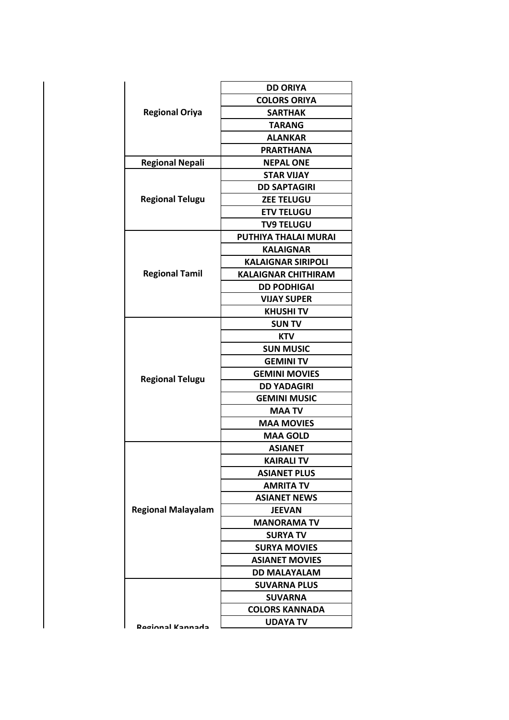|                           | <b>DD ORIYA</b>            |
|---------------------------|----------------------------|
|                           | <b>COLORS ORIYA</b>        |
| <b>Regional Oriya</b>     | <b>SARTHAK</b>             |
|                           | <b>TARANG</b>              |
|                           | <b>ALANKAR</b>             |
|                           | <b>PRARTHANA</b>           |
| <b>Regional Nepali</b>    | <b>NEPAL ONE</b>           |
|                           | <b>STAR VIJAY</b>          |
|                           | <b>DD SAPTAGIRI</b>        |
| <b>Regional Telugu</b>    | <b>ZEE TELUGU</b>          |
|                           | <b>ETV TELUGU</b>          |
|                           | <b>TV9 TELUGU</b>          |
|                           | PUTHIYA THALAI MURAI       |
|                           | <b>KALAIGNAR</b>           |
|                           | <b>KALAIGNAR SIRIPOLI</b>  |
| <b>Regional Tamil</b>     | <b>KALAIGNAR CHITHIRAM</b> |
|                           | <b>DD PODHIGAI</b>         |
|                           | <b>VIJAY SUPER</b>         |
|                           | <b>KHUSHI TV</b>           |
|                           | <b>SUN TV</b>              |
|                           | KTV                        |
|                           | <b>SUN MUSIC</b>           |
|                           | <b>GEMINI TV</b>           |
|                           | <b>GEMINI MOVIES</b>       |
| <b>Regional Telugu</b>    | <b>DD YADAGIRI</b>         |
|                           | <b>GEMINI MUSIC</b>        |
|                           | <b>MAA TV</b>              |
|                           | <b>MAA MOVIES</b>          |
|                           | <b>MAA GOLD</b>            |
|                           | <b>ASIANET</b>             |
|                           | <b>KAIRALI TV</b>          |
|                           | <b>ASIANET PLUS</b>        |
|                           | <b>AMRITA TV</b>           |
|                           | <b>ASIANET NEWS</b>        |
| <b>Regional Malayalam</b> | <b>JEEVAN</b>              |
|                           | <b>MANORAMA TV</b>         |
|                           | <b>SURYA TV</b>            |
|                           | <b>SURYA MOVIES</b>        |
|                           | <b>ASIANET MOVIES</b>      |
|                           | <b>DD MALAYALAM</b>        |
|                           | <b>SUVARNA PLUS</b>        |
|                           | <b>SUVARNA</b>             |
|                           | <b>COLORS KANNADA</b>      |
| Ragional Kannada          | <b>UDAYA TV</b>            |
|                           |                            |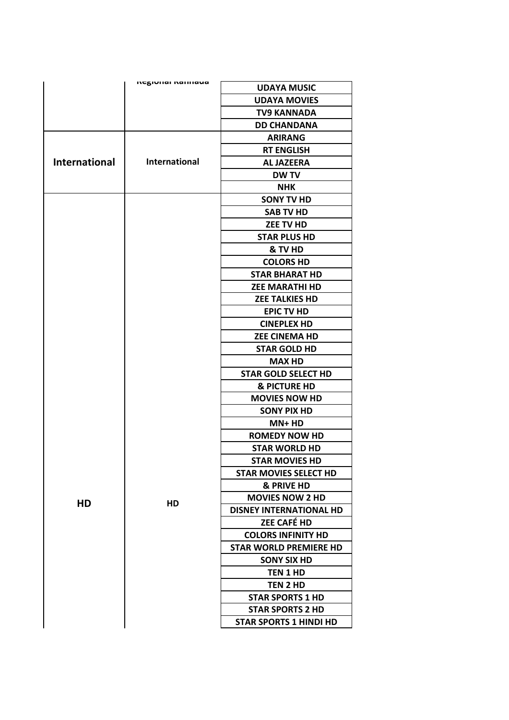|                      | πεχινιιαι καιπιανα   | <b>UDAYA MUSIC</b>             |
|----------------------|----------------------|--------------------------------|
|                      |                      | <b>UDAYA MOVIES</b>            |
|                      |                      | <b>TV9 KANNADA</b>             |
|                      |                      | <b>DD CHANDANA</b>             |
|                      |                      | <b>ARIRANG</b>                 |
|                      |                      | <b>RT ENGLISH</b>              |
| <b>International</b> | <b>International</b> | <b>AL JAZEERA</b>              |
|                      |                      | <b>DW TV</b>                   |
|                      |                      | <b>NHK</b>                     |
|                      |                      | <b>SONY TV HD</b>              |
|                      |                      | <b>SAB TV HD</b>               |
|                      |                      | <b>ZEE TV HD</b>               |
|                      |                      | <b>STAR PLUS HD</b>            |
|                      |                      | & TV HD                        |
|                      |                      | <b>COLORS HD</b>               |
|                      |                      | <b>STAR BHARAT HD</b>          |
|                      |                      | <b>ZEE MARATHI HD</b>          |
|                      |                      | <b>ZEE TALKIES HD</b>          |
|                      |                      | <b>EPIC TV HD</b>              |
|                      |                      | <b>CINEPLEX HD</b>             |
|                      |                      | <b>ZEE CINEMA HD</b>           |
|                      |                      | <b>STAR GOLD HD</b>            |
|                      |                      | <b>MAX HD</b>                  |
|                      |                      | <b>STAR GOLD SELECT HD</b>     |
|                      |                      | <b>&amp; PICTURE HD</b>        |
|                      |                      | <b>MOVIES NOW HD</b>           |
|                      |                      | <b>SONY PIX HD</b>             |
|                      |                      | $MN+HD$                        |
|                      |                      | <b>ROMEDY NOW HD</b>           |
|                      |                      | <b>STAR WORLD HD</b>           |
|                      |                      | <b>STAR MOVIES HD</b>          |
|                      |                      | <b>STAR MOVIES SELECT HD</b>   |
|                      |                      | & PRIVE HD                     |
| HD                   | HD                   | <b>MOVIES NOW 2 HD</b>         |
|                      |                      | <b>DISNEY INTERNATIONAL HD</b> |
|                      |                      | <b>ZEE CAFÉ HD</b>             |
|                      |                      | <b>COLORS INFINITY HD</b>      |
|                      |                      | <b>STAR WORLD PREMIERE HD</b>  |
|                      |                      | <b>SONY SIX HD</b>             |
|                      |                      | <b>TEN 1 HD</b>                |
|                      |                      | TEN 2 HD                       |
|                      |                      | <b>STAR SPORTS 1 HD</b>        |
|                      |                      | <b>STAR SPORTS 2 HD</b>        |
|                      |                      | <b>STAR SPORTS 1 HINDI HD</b>  |